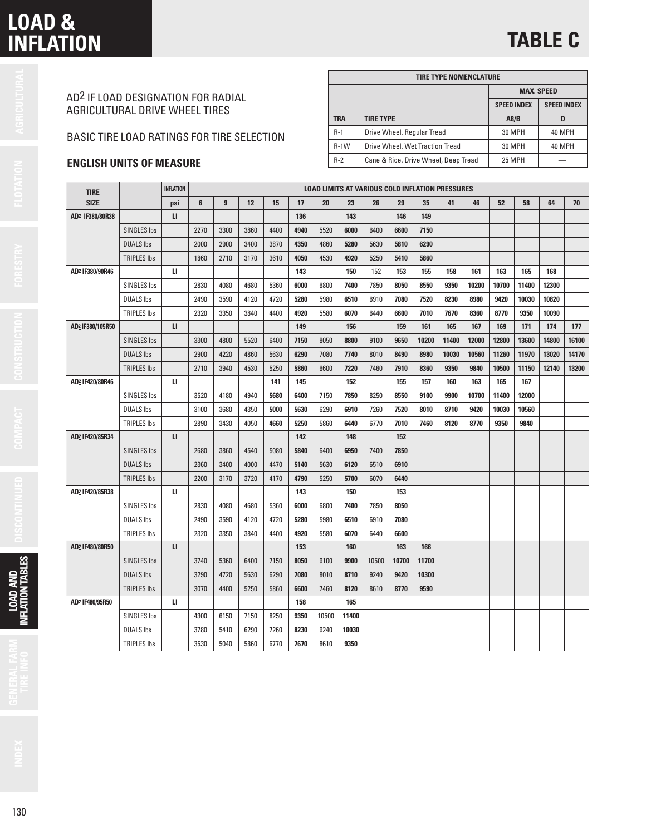## **LOAD & INFLATION**

# **TABLE C**

|   | I |
|---|---|
|   |   |
| r |   |
|   |   |
|   |   |

| AD <sup>2</sup> IF LOAD DESIGNATION FOR RADIAL |
|------------------------------------------------|
| AGRICULTURAL DRIVE WHEEL TIRES                 |

### BASIC TIRE LOAD RATINGS FOR TIRE SELECTION

### **ENGLISH UNITS OF MEASURE**

|            | <b>TIRE TYPE NOMENCLATURE</b>        |                    |                    |  |  |  |  |  |  |  |  |  |  |  |  |
|------------|--------------------------------------|--------------------|--------------------|--|--|--|--|--|--|--|--|--|--|--|--|
|            |                                      |                    | <b>MAX. SPEED</b>  |  |  |  |  |  |  |  |  |  |  |  |  |
|            |                                      | <b>SPEED INDEX</b> | <b>SPEED INDEX</b> |  |  |  |  |  |  |  |  |  |  |  |  |
| <b>TRA</b> | <b>TIRE TYPE</b>                     | A8/B               |                    |  |  |  |  |  |  |  |  |  |  |  |  |
| $R-1$      | Drive Wheel, Regular Tread           | 30 MPH             | 40 MPH             |  |  |  |  |  |  |  |  |  |  |  |  |
| $R-1$ W    | Drive Wheel, Wet Traction Tread      | 30 MPH             | 40 MPH             |  |  |  |  |  |  |  |  |  |  |  |  |
| $R-2$      | Cane & Rice, Drive Wheel, Deep Tread | <b>25 MPH</b>      |                    |  |  |  |  |  |  |  |  |  |  |  |  |

| <b>INFLATION</b><br><b>LOAD LIMITS AT VARIOUS COLD INFLATION PRESSURES</b><br><b>TIRE</b> |                    |              |      |      |      |      |      |       |       |       |       |       |       |       |       |       |       |       |
|-------------------------------------------------------------------------------------------|--------------------|--------------|------|------|------|------|------|-------|-------|-------|-------|-------|-------|-------|-------|-------|-------|-------|
| <b>SIZE</b>                                                                               |                    | psi          | 6    | 9    | 12   | 15   | 17   | 20    | 23    | 26    | 29    | 35    | 41    | 46    | 52    | 58    | 64    | 70    |
| AD2 IF380/80R38                                                                           |                    | $\mathbf{u}$ |      |      |      |      | 136  |       | 143   |       | 146   | 149   |       |       |       |       |       |       |
|                                                                                           | <b>SINGLES Ibs</b> |              | 2270 | 3300 | 3860 | 4400 | 4940 | 5520  | 6000  | 6400  | 6600  | 7150  |       |       |       |       |       |       |
|                                                                                           | <b>DUALS Ibs</b>   |              | 2000 | 2900 | 3400 | 3870 | 4350 | 4860  | 5280  | 5630  | 5810  | 6290  |       |       |       |       |       |       |
|                                                                                           | <b>TRIPLES Ibs</b> |              | 1860 | 2710 | 3170 | 3610 | 4050 | 4530  | 4920  | 5250  | 5410  | 5860  |       |       |       |       |       |       |
| AD2 IF380/90R46                                                                           |                    | п            |      |      |      |      | 143  |       | 150   | 152   | 153   | 155   | 158   | 161   | 163   | 165   | 168   |       |
|                                                                                           | <b>SINGLES Ibs</b> |              | 2830 | 4080 | 4680 | 5360 | 6000 | 6800  | 7400  | 7850  | 8050  | 8550  | 9350  | 10200 | 10700 | 11400 | 12300 |       |
|                                                                                           | <b>DUALS Ibs</b>   |              | 2490 | 3590 | 4120 | 4720 | 5280 | 5980  | 6510  | 6910  | 7080  | 7520  | 8230  | 8980  | 9420  | 10030 | 10820 |       |
|                                                                                           | <b>TRIPLES Ibs</b> |              | 2320 | 3350 | 3840 | 4400 | 4920 | 5580  | 6070  | 6440  | 6600  | 7010  | 7670  | 8360  | 8770  | 9350  | 10090 |       |
| AD2 IF380/105R50                                                                          |                    | $\mathbf{u}$ |      |      |      |      | 149  |       | 156   |       | 159   | 161   | 165   | 167   | 169   | 171   | 174   | 177   |
|                                                                                           | <b>SINGLES Ibs</b> |              | 3300 | 4800 | 5520 | 6400 | 7150 | 8050  | 8800  | 9100  | 9650  | 10200 | 11400 | 12000 | 12800 | 13600 | 14800 | 16100 |
|                                                                                           | <b>DUALS Ibs</b>   |              | 2900 | 4220 | 4860 | 5630 | 6290 | 7080  | 7740  | 8010  | 8490  | 8980  | 10030 | 10560 | 11260 | 11970 | 13020 | 14170 |
|                                                                                           | <b>TRIPLES Ibs</b> |              | 2710 | 3940 | 4530 | 5250 | 5860 | 6600  | 7220  | 7460  | 7910  | 8360  | 9350  | 9840  | 10500 | 11150 | 12140 | 13200 |
| AD2 IF420/80R46                                                                           |                    | п            |      |      |      | 141  | 145  |       | 152   |       | 155   | 157   | 160   | 163   | 165   | 167   |       |       |
|                                                                                           | <b>SINGLES Ibs</b> |              | 3520 | 4180 | 4940 | 5680 | 6400 | 7150  | 7850  | 8250  | 8550  | 9100  | 9900  | 10700 | 11400 | 12000 |       |       |
|                                                                                           | <b>DUALS Ibs</b>   |              | 3100 | 3680 | 4350 | 5000 | 5630 | 6290  | 6910  | 7260  | 7520  | 8010  | 8710  | 9420  | 10030 | 10560 |       |       |
|                                                                                           | <b>TRIPLES Ibs</b> |              | 2890 | 3430 | 4050 | 4660 | 5250 | 5860  | 6440  | 6770  | 7010  | 7460  | 8120  | 8770  | 9350  | 9840  |       |       |
| AD2 IF420/85R34                                                                           |                    | $\mathbf{u}$ |      |      |      |      | 142  |       | 148   |       | 152   |       |       |       |       |       |       |       |
|                                                                                           | <b>SINGLES Ibs</b> |              | 2680 | 3860 | 4540 | 5080 | 5840 | 6400  | 6950  | 7400  | 7850  |       |       |       |       |       |       |       |
|                                                                                           | <b>DUALS Ibs</b>   |              | 2360 | 3400 | 4000 | 4470 | 5140 | 5630  | 6120  | 6510  | 6910  |       |       |       |       |       |       |       |
|                                                                                           | <b>TRIPLES Ibs</b> |              | 2200 | 3170 | 3720 | 4170 | 4790 | 5250  | 5700  | 6070  | 6440  |       |       |       |       |       |       |       |
| AD2 IF420/85R38                                                                           |                    | $\mathbf{u}$ |      |      |      |      | 143  |       | 150   |       | 153   |       |       |       |       |       |       |       |
|                                                                                           | <b>SINGLES Ibs</b> |              | 2830 | 4080 | 4680 | 5360 | 6000 | 6800  | 7400  | 7850  | 8050  |       |       |       |       |       |       |       |
|                                                                                           | <b>DUALS Ibs</b>   |              | 2490 | 3590 | 4120 | 4720 | 5280 | 5980  | 6510  | 6910  | 7080  |       |       |       |       |       |       |       |
|                                                                                           | <b>TRIPLES Ibs</b> |              | 2320 | 3350 | 3840 | 4400 | 4920 | 5580  | 6070  | 6440  | 6600  |       |       |       |       |       |       |       |
| AD2 IF480/80R50                                                                           |                    | $\mathbf{u}$ |      |      |      |      | 153  |       | 160   |       | 163   | 166   |       |       |       |       |       |       |
|                                                                                           | <b>SINGLES Ibs</b> |              | 3740 | 5360 | 6400 | 7150 | 8050 | 9100  | 9900  | 10500 | 10700 | 11700 |       |       |       |       |       |       |
|                                                                                           | <b>DUALS Ibs</b>   |              | 3290 | 4720 | 5630 | 6290 | 7080 | 8010  | 8710  | 9240  | 9420  | 10300 |       |       |       |       |       |       |
|                                                                                           | <b>TRIPLES Ibs</b> |              | 3070 | 4400 | 5250 | 5860 | 6600 | 7460  | 8120  | 8610  | 8770  | 9590  |       |       |       |       |       |       |
| AD2 IF480/95R50                                                                           |                    | п            |      |      |      |      | 158  |       | 165   |       |       |       |       |       |       |       |       |       |
|                                                                                           | <b>SINGLES Ibs</b> |              | 4300 | 6150 | 7150 | 8250 | 9350 | 10500 | 11400 |       |       |       |       |       |       |       |       |       |
|                                                                                           | <b>DUALS Ibs</b>   |              | 3780 | 5410 | 6290 | 7260 | 8230 | 9240  | 10030 |       |       |       |       |       |       |       |       |       |
|                                                                                           | <b>TRIPLES Ibs</b> |              | 3530 | 5040 | 5860 | 6770 | 7670 | 8610  | 9350  |       |       |       |       |       |       |       |       |       |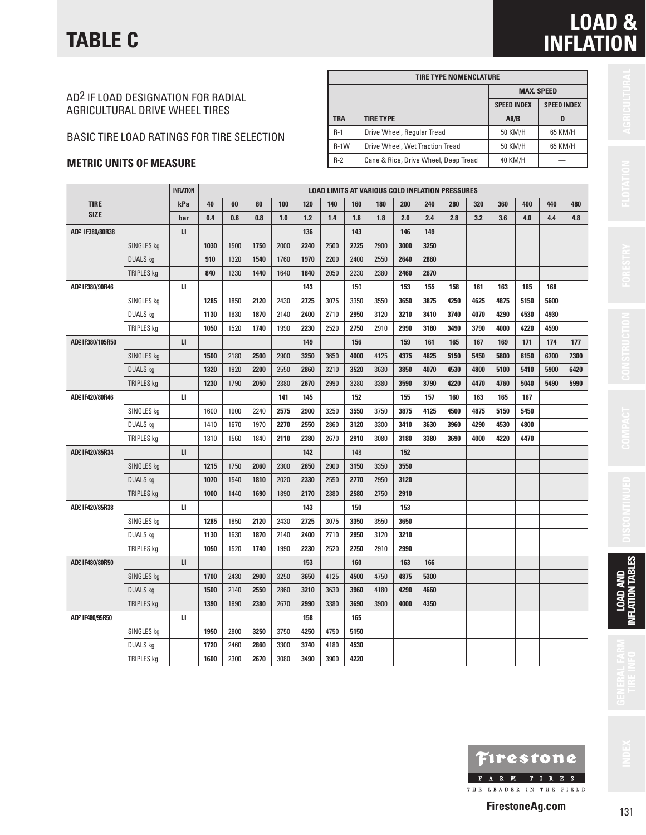### AD2 IF LOAD DESIGNATION FOR RADIAL AGRICULTURAL DRIVE WHEEL TIRES

### BASIC TIRE LOAD RATINGS FOR TIRE SELECTION

### **METRIC UNITS OF MEASURE**

|            | <b>TIRE TYPE NOMENCLATURE</b>        |                    |                    |
|------------|--------------------------------------|--------------------|--------------------|
|            |                                      |                    | <b>MAX. SPEED</b>  |
|            |                                      | <b>SPEED INDEX</b> | <b>SPEED INDEX</b> |
| <b>TRA</b> | <b>TIRE TYPE</b>                     | A8/B               | D                  |
| $R-1$      | Drive Wheel, Regular Tread           | 50 KM/H            | 65 KM/H            |
| $R-1$ W    | Drive Wheel, Wet Traction Tread      | 50 KM/H            | 65 KM/H            |
| $R-2$      | Cane & Rice, Drive Wheel, Deep Tread | 40 KM/H            |                    |

|                  |                   | INFLATION    |      | <b>LOAD LIMITS AT VARIOUS COLD INFLATION PRESSURES</b> |      |      |      |      |      |      |      |      |      |      |      |      |      |      |
|------------------|-------------------|--------------|------|--------------------------------------------------------|------|------|------|------|------|------|------|------|------|------|------|------|------|------|
| <b>TIRE</b>      |                   | kPa          | 40   | 60                                                     | 80   | 100  | 120  | 140  | 160  | 180  | 200  | 240  | 280  | 320  | 360  | 400  | 440  | 480  |
| <b>SIZE</b>      |                   | bar          | 0.4  | 0.6                                                    | 0.8  | 1.0  | 1.2  | 1.4  | 1.6  | 1.8  | 2.0  | 2.4  | 2.8  | 3.2  | 3.6  | 4.0  | 4.4  | 4.8  |
| AD2 IF380/80R38  |                   | $\mathbf{u}$ |      |                                                        |      |      | 136  |      | 143  |      | 146  | 149  |      |      |      |      |      |      |
|                  | SINGLES kg        |              | 1030 | 1500                                                   | 1750 | 2000 | 2240 | 2500 | 2725 | 2900 | 3000 | 3250 |      |      |      |      |      |      |
|                  | <b>DUALS kg</b>   |              | 910  | 1320                                                   | 1540 | 1760 | 1970 | 2200 | 2400 | 2550 | 2640 | 2860 |      |      |      |      |      |      |
|                  | TRIPLES kg        |              | 840  | 1230                                                   | 1440 | 1640 | 1840 | 2050 | 2230 | 2380 | 2460 | 2670 |      |      |      |      |      |      |
| AD2 IF380/90R46  |                   | Ц            |      |                                                        |      |      | 143  |      | 150  |      | 153  | 155  | 158  | 161  | 163  | 165  | 168  |      |
|                  | SINGLES kg        |              | 1285 | 1850                                                   | 2120 | 2430 | 2725 | 3075 | 3350 | 3550 | 3650 | 3875 | 4250 | 4625 | 4875 | 5150 | 5600 |      |
|                  | DUALS kg          |              | 1130 | 1630                                                   | 1870 | 2140 | 2400 | 2710 | 2950 | 3120 | 3210 | 3410 | 3740 | 4070 | 4290 | 4530 | 4930 |      |
|                  | <b>TRIPLES kg</b> |              | 1050 | 1520                                                   | 1740 | 1990 | 2230 | 2520 | 2750 | 2910 | 2990 | 3180 | 3490 | 3790 | 4000 | 4220 | 4590 |      |
| AD2 IF380/105R50 |                   | $\mathbf{L}$ |      |                                                        |      |      | 149  |      | 156  |      | 159  | 161  | 165  | 167  | 169  | 171  | 174  | 177  |
|                  | SINGLES kg        |              | 1500 | 2180                                                   | 2500 | 2900 | 3250 | 3650 | 4000 | 4125 | 4375 | 4625 | 5150 | 5450 | 5800 | 6150 | 6700 | 7300 |
|                  | <b>DUALS kg</b>   |              | 1320 | 1920                                                   | 2200 | 2550 | 2860 | 3210 | 3520 | 3630 | 3850 | 4070 | 4530 | 4800 | 5100 | 5410 | 5900 | 6420 |
|                  | <b>TRIPLES kg</b> |              | 1230 | 1790                                                   | 2050 | 2380 | 2670 | 2990 | 3280 | 3380 | 3590 | 3790 | 4220 | 4470 | 4760 | 5040 | 5490 | 5990 |
| AD2 IF420/80R46  |                   | п            |      |                                                        |      | 141  | 145  |      | 152  |      | 155  | 157  | 160  | 163  | 165  | 167  |      |      |
|                  | SINGLES kg        |              | 1600 | 1900                                                   | 2240 | 2575 | 2900 | 3250 | 3550 | 3750 | 3875 | 4125 | 4500 | 4875 | 5150 | 5450 |      |      |
|                  | <b>DUALS kg</b>   |              | 1410 | 1670                                                   | 1970 | 2270 | 2550 | 2860 | 3120 | 3300 | 3410 | 3630 | 3960 | 4290 | 4530 | 4800 |      |      |
|                  | <b>TRIPLES kg</b> |              | 1310 | 1560                                                   | 1840 | 2110 | 2380 | 2670 | 2910 | 3080 | 3180 | 3380 | 3690 | 4000 | 4220 | 4470 |      |      |
| AD2 IF420/85R34  |                   | $\mathbf{L}$ |      |                                                        |      |      | 142  |      | 148  |      | 152  |      |      |      |      |      |      |      |
|                  | SINGLES kg        |              | 1215 | 1750                                                   | 2060 | 2300 | 2650 | 2900 | 3150 | 3350 | 3550 |      |      |      |      |      |      |      |
|                  | <b>DUALS</b> kg   |              | 1070 | 1540                                                   | 1810 | 2020 | 2330 | 2550 | 2770 | 2950 | 3120 |      |      |      |      |      |      |      |
|                  | <b>TRIPLES kg</b> |              | 1000 | 1440                                                   | 1690 | 1890 | 2170 | 2380 | 2580 | 2750 | 2910 |      |      |      |      |      |      |      |
| AD2 IF420/85R38  |                   | и            |      |                                                        |      |      | 143  |      | 150  |      | 153  |      |      |      |      |      |      |      |
|                  | SINGLES kg        |              | 1285 | 1850                                                   | 2120 | 2430 | 2725 | 3075 | 3350 | 3550 | 3650 |      |      |      |      |      |      |      |
|                  | DUALS kg          |              | 1130 | 1630                                                   | 1870 | 2140 | 2400 | 2710 | 2950 | 3120 | 3210 |      |      |      |      |      |      |      |
|                  | <b>TRIPLES kg</b> |              | 1050 | 1520                                                   | 1740 | 1990 | 2230 | 2520 | 2750 | 2910 | 2990 |      |      |      |      |      |      |      |
| AD2 IF480/80R50  |                   | $\mathbf{L}$ |      |                                                        |      |      | 153  |      | 160  |      | 163  | 166  |      |      |      |      |      |      |
|                  | SINGLES kg        |              | 1700 | 2430                                                   | 2900 | 3250 | 3650 | 4125 | 4500 | 4750 | 4875 | 5300 |      |      |      |      |      |      |
|                  | <b>DUALS kg</b>   |              | 1500 | 2140                                                   | 2550 | 2860 | 3210 | 3630 | 3960 | 4180 | 4290 | 4660 |      |      |      |      |      |      |
|                  | TRIPLES kg        |              | 1390 | 1990                                                   | 2380 | 2670 | 2990 | 3380 | 3690 | 3900 | 4000 | 4350 |      |      |      |      |      |      |
| AD2 IF480/95R50  |                   | и            |      |                                                        |      |      | 158  |      | 165  |      |      |      |      |      |      |      |      |      |
|                  | SINGLES kg        |              | 1950 | 2800                                                   | 3250 | 3750 | 4250 | 4750 | 5150 |      |      |      |      |      |      |      |      |      |
|                  | DUALS kg          |              | 1720 | 2460                                                   | 2860 | 3300 | 3740 | 4180 | 4530 |      |      |      |      |      |      |      |      |      |
|                  | <b>TRIPLES kg</b> |              | 1600 | 2300                                                   | 2670 | 3080 | 3490 | 3900 | 4220 |      |      |      |      |      |      |      |      |      |

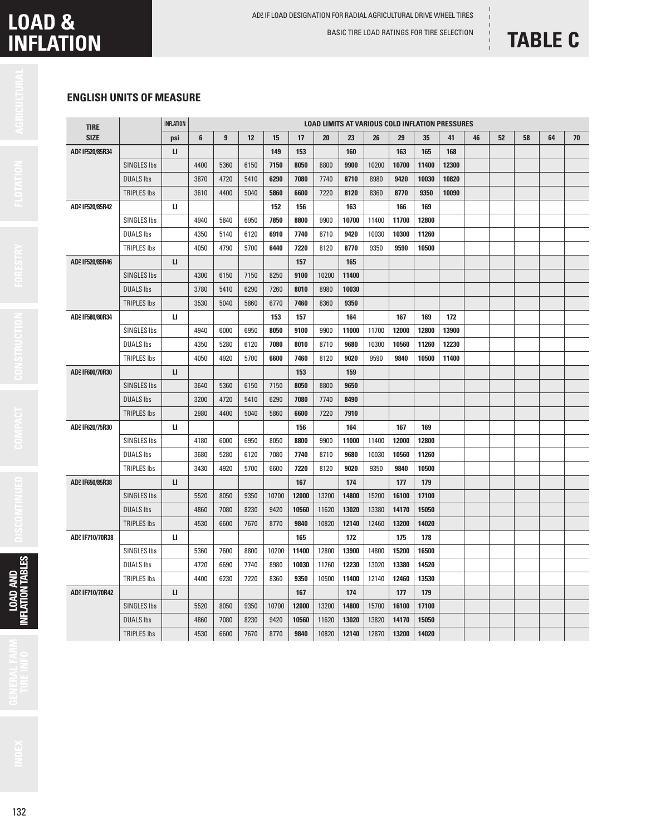## **LOAD & INFLATION**

BASIC TIRE LOAD RATINGS FOR TIRE SELECTION

# **TABLE C**

### **ENGLISH UNITS OF MEASURE**

| <b>TIRE</b>                 |                    | <b>INFLATION</b> | <b>LOAD LIMITS AT VARIOUS COLD INFLATION PRESSURES</b> |      |      |       |       |       |       |       |       |       |       |    |    |    |    |    |
|-----------------------------|--------------------|------------------|--------------------------------------------------------|------|------|-------|-------|-------|-------|-------|-------|-------|-------|----|----|----|----|----|
| <b>SIZE</b>                 |                    | psi              | 6                                                      | 9    | 12   | 15    | 17    | 20    | 23    | 26    | 29    | 35    | 41    | 46 | 52 | 58 | 64 | 70 |
| AD2 IF520/85R34             |                    | $\mathbf{L}$     |                                                        |      |      | 149   | 153   |       | 160   |       | 163   | 165   | 168   |    |    |    |    |    |
|                             | SINGLES Ibs        |                  | 4400                                                   | 5360 | 6150 | 7150  | 8050  | 8800  | 9900  | 10200 | 10700 | 11400 | 12300 |    |    |    |    |    |
|                             | <b>DUALS Ibs</b>   |                  | 3870                                                   | 4720 | 5410 | 6290  | 7080  | 7740  | 8710  | 8980  | 9420  | 10030 | 10820 |    |    |    |    |    |
|                             | <b>TRIPLES Ibs</b> |                  | 3610                                                   | 4400 | 5040 | 5860  | 6600  | 7220  | 8120  | 8360  | 8770  | 9350  | 10090 |    |    |    |    |    |
| AD2 IF520/85R42             |                    | ш                |                                                        |      |      | 152   | 156   |       | 163   |       | 166   | 169   |       |    |    |    |    |    |
|                             | <b>SINGLES Ibs</b> |                  | 4940                                                   | 5840 | 6950 | 7850  | 8800  | 9900  | 10700 | 11400 | 11700 | 12800 |       |    |    |    |    |    |
|                             | <b>DUALS lbs</b>   |                  | 4350                                                   | 5140 | 6120 | 6910  | 7740  | 8710  | 9420  | 10030 | 10300 | 11260 |       |    |    |    |    |    |
|                             | <b>TRIPLES Ibs</b> |                  | 4050                                                   | 4790 | 5700 | 6440  | 7220  | 8120  | 8770  | 9350  | 9590  | 10500 |       |    |    |    |    |    |
| AD2 IF520/85R46             |                    | $\mathbf{L}$     |                                                        |      |      |       | 157   |       | 165   |       |       |       |       |    |    |    |    |    |
|                             | <b>SINGLES Ibs</b> |                  | 4300                                                   | 6150 | 7150 | 8250  | 9100  | 10200 | 11400 |       |       |       |       |    |    |    |    |    |
|                             | <b>DUALS Ibs</b>   |                  | 3780                                                   | 5410 | 6290 | 7260  | 8010  | 8980  | 10030 |       |       |       |       |    |    |    |    |    |
|                             | <b>TRIPLES Ibs</b> |                  | 3530                                                   | 5040 | 5860 | 6770  | 7460  | 8360  | 9350  |       |       |       |       |    |    |    |    |    |
| AD2 IF580/80R34             |                    | ш                |                                                        |      |      | 153   | 157   |       | 164   |       | 167   | 169   | 172   |    |    |    |    |    |
|                             | <b>SINGLES Ibs</b> |                  | 4940                                                   | 6000 | 6950 | 8050  | 9100  | 9900  | 11000 | 11700 | 12000 | 12800 | 13900 |    |    |    |    |    |
|                             | <b>DUALS Ibs</b>   |                  | 4350                                                   | 5280 | 6120 | 7080  | 8010  | 8710  | 9680  | 10300 | 10560 | 11260 | 12230 |    |    |    |    |    |
|                             | <b>TRIPLES Ibs</b> |                  | 4050                                                   | 4920 | 5700 | 6600  | 7460  | 8120  | 9020  | 9590  | 9840  | 10500 | 11400 |    |    |    |    |    |
| AD2 IF600/70R30             |                    | п                |                                                        |      |      |       | 153   |       | 159   |       |       |       |       |    |    |    |    |    |
|                             | <b>SINGLES Ibs</b> |                  | 3640                                                   | 5360 | 6150 | 7150  | 8050  | 8800  | 9650  |       |       |       |       |    |    |    |    |    |
|                             | <b>DUALS Ibs</b>   |                  | 3200                                                   | 4720 | 5410 | 6290  | 7080  | 7740  | 8490  |       |       |       |       |    |    |    |    |    |
|                             | <b>TRIPLES Ibs</b> |                  | 2980                                                   | 4400 | 5040 | 5860  | 6600  | 7220  | 7910  |       |       |       |       |    |    |    |    |    |
| AD2 IF620/75R30             |                    | п                |                                                        |      |      |       | 156   |       | 164   |       | 167   | 169   |       |    |    |    |    |    |
|                             | SINGLES Ibs        |                  | 4180                                                   | 6000 | 6950 | 8050  | 8800  | 9900  | 11000 | 11400 | 12000 | 12800 |       |    |    |    |    |    |
|                             | <b>DUALS Ibs</b>   |                  | 3680                                                   | 5280 | 6120 | 7080  | 7740  | 8710  | 9680  | 10030 | 10560 | 11260 |       |    |    |    |    |    |
|                             | <b>TRIPLES Ibs</b> |                  | 3430                                                   | 4920 | 5700 | 6600  | 7220  | 8120  | 9020  | 9350  | 9840  | 10500 |       |    |    |    |    |    |
| AD <sup>2</sup> IF650/85R38 |                    | $\mathbf{L}$     |                                                        |      |      |       | 167   |       | 174   |       | 177   | 179   |       |    |    |    |    |    |
|                             | <b>SINGLES Ibs</b> |                  | 5520                                                   | 8050 | 9350 | 10700 | 12000 | 13200 | 14800 | 15200 | 16100 | 17100 |       |    |    |    |    |    |
|                             | <b>DUALS Ibs</b>   |                  | 4860                                                   | 7080 | 8230 | 9420  | 10560 | 11620 | 13020 | 13380 | 14170 | 15050 |       |    |    |    |    |    |
|                             | <b>TRIPLES Ibs</b> |                  | 4530                                                   | 6600 | 7670 | 8770  | 9840  | 10820 | 12140 | 12460 | 13200 | 14020 |       |    |    |    |    |    |
| AD2 IF710/70R38             |                    | п                |                                                        |      |      |       | 165   |       | 172   |       | 175   | 178   |       |    |    |    |    |    |
|                             | <b>SINGLES Ibs</b> |                  | 5360                                                   | 7600 | 8800 | 10200 | 11400 | 12800 | 13900 | 14800 | 15200 | 16500 |       |    |    |    |    |    |
|                             | <b>DUALS Ibs</b>   |                  | 4720                                                   | 6690 | 7740 | 8980  | 10030 | 11260 | 12230 | 13020 | 13380 | 14520 |       |    |    |    |    |    |
|                             | <b>TRIPLES Ibs</b> |                  | 4400                                                   | 6230 | 7220 | 8360  | 9350  | 10500 | 11400 | 12140 | 12460 | 13530 |       |    |    |    |    |    |
| AD2 IF710/70R42             |                    | п                |                                                        |      |      |       | 167   |       | 174   |       | 177   | 179   |       |    |    |    |    |    |
|                             | <b>SINGLES Ibs</b> |                  | 5520                                                   | 8050 | 9350 | 10700 | 12000 | 13200 | 14800 | 15700 | 16100 | 17100 |       |    |    |    |    |    |
|                             | <b>DUALS Ibs</b>   |                  | 4860                                                   | 7080 | 8230 | 9420  | 10560 | 11620 | 13020 | 13820 | 14170 | 15050 |       |    |    |    |    |    |
|                             | <b>TRIPLES Ibs</b> |                  | 4530                                                   | 6600 | 7670 | 8770  | 9840  | 10820 | 12140 | 12870 | 13200 | 14020 |       |    |    |    |    |    |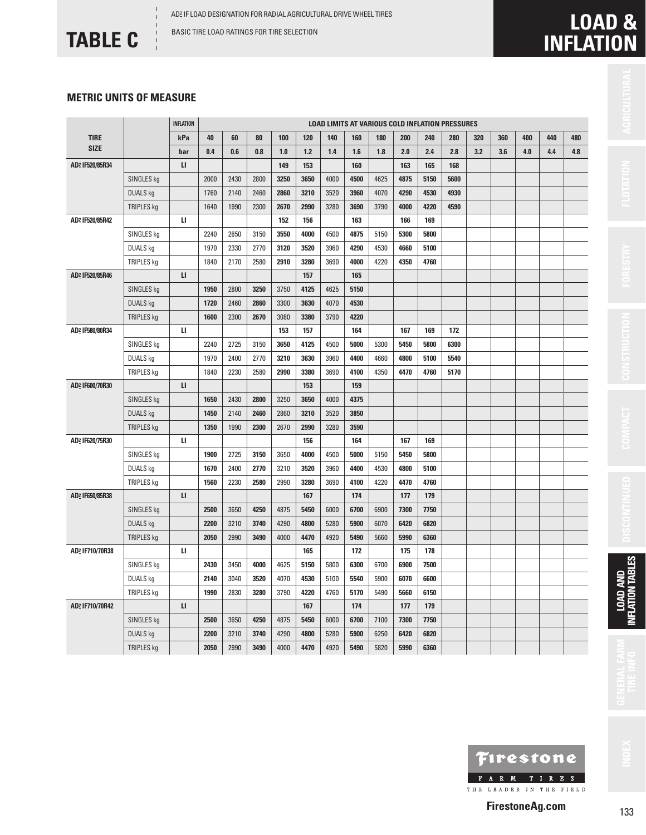BASIC TIRE LOAD RATINGS FOR TIRE SELECTION

**TABLE C**

### **METRIC UNITS OF MEASURE**

|                             |                   | <b>INFLATION</b>       |      |      |      |      |       |      |      |      |      |      | <b>LOAD LIMITS AT VARIOUS COLD INFLATION PRESSURES</b> |     |     |     |     |     |
|-----------------------------|-------------------|------------------------|------|------|------|------|-------|------|------|------|------|------|--------------------------------------------------------|-----|-----|-----|-----|-----|
| <b>TIRE</b>                 |                   | kPa                    | 40   | 60   | 80   | 100  | 120   | 140  | 160  | 180  | 200  | 240  | 280                                                    | 320 | 360 | 400 | 440 | 480 |
| <b>SIZE</b>                 |                   | bar                    | 0.4  | 0.6  | 0.8  | 1.0  | $1.2$ | 1.4  | 1.6  | 1.8  | 2.0  | 2.4  | 2.8                                                    | 3.2 | 3.6 | 4.0 | 4.4 | 4.8 |
| AD2 IF520/85R34             |                   | $\mathsf{L}\mathsf{I}$ |      |      |      | 149  | 153   |      | 160  |      | 163  | 165  | 168                                                    |     |     |     |     |     |
|                             | SINGLES kg        |                        | 2000 | 2430 | 2800 | 3250 | 3650  | 4000 | 4500 | 4625 | 4875 | 5150 | 5600                                                   |     |     |     |     |     |
|                             | <b>DUALS kg</b>   |                        | 1760 | 2140 | 2460 | 2860 | 3210  | 3520 | 3960 | 4070 | 4290 | 4530 | 4930                                                   |     |     |     |     |     |
|                             | TRIPLES kg        |                        | 1640 | 1990 | 2300 | 2670 | 2990  | 3280 | 3690 | 3790 | 4000 | 4220 | 4590                                                   |     |     |     |     |     |
| AD <sup>2</sup> IF520/85R42 |                   | п                      |      |      |      | 152  | 156   |      | 163  |      | 166  | 169  |                                                        |     |     |     |     |     |
|                             | SINGLES kg        |                        | 2240 | 2650 | 3150 | 3550 | 4000  | 4500 | 4875 | 5150 | 5300 | 5800 |                                                        |     |     |     |     |     |
|                             | DUALS kg          |                        | 1970 | 2330 | 2770 | 3120 | 3520  | 3960 | 4290 | 4530 | 4660 | 5100 |                                                        |     |     |     |     |     |
|                             | TRIPLES kg        |                        | 1840 | 2170 | 2580 | 2910 | 3280  | 3690 | 4000 | 4220 | 4350 | 4760 |                                                        |     |     |     |     |     |
| AD2 IF520/85R46             |                   | $\mathbf{L}$           |      |      |      |      | 157   |      | 165  |      |      |      |                                                        |     |     |     |     |     |
|                             | SINGLES kg        |                        | 1950 | 2800 | 3250 | 3750 | 4125  | 4625 | 5150 |      |      |      |                                                        |     |     |     |     |     |
|                             | DUALS kg          |                        | 1720 | 2460 | 2860 | 3300 | 3630  | 4070 | 4530 |      |      |      |                                                        |     |     |     |     |     |
|                             | TRIPLES kg        |                        | 1600 | 2300 | 2670 | 3080 | 3380  | 3790 | 4220 |      |      |      |                                                        |     |     |     |     |     |
| AD2 IF580/80R34             |                   | п                      |      |      |      | 153  | 157   |      | 164  |      | 167  | 169  | 172                                                    |     |     |     |     |     |
|                             | SINGLES kg        |                        | 2240 | 2725 | 3150 | 3650 | 4125  | 4500 | 5000 | 5300 | 5450 | 5800 | 6300                                                   |     |     |     |     |     |
|                             | DUALS kg          |                        | 1970 | 2400 | 2770 | 3210 | 3630  | 3960 | 4400 | 4660 | 4800 | 5100 | 5540                                                   |     |     |     |     |     |
|                             | TRIPLES kg        |                        | 1840 | 2230 | 2580 | 2990 | 3380  | 3690 | 4100 | 4350 | 4470 | 4760 | 5170                                                   |     |     |     |     |     |
| AD2 IF600/70R30             |                   | $\mathbf{L}$           |      |      |      |      | 153   |      | 159  |      |      |      |                                                        |     |     |     |     |     |
|                             | SINGLES kg        |                        | 1650 | 2430 | 2800 | 3250 | 3650  | 4000 | 4375 |      |      |      |                                                        |     |     |     |     |     |
|                             | DUALS kg          |                        | 1450 | 2140 | 2460 | 2860 | 3210  | 3520 | 3850 |      |      |      |                                                        |     |     |     |     |     |
|                             | TRIPLES kg        |                        | 1350 | 1990 | 2300 | 2670 | 2990  | 3280 | 3590 |      |      |      |                                                        |     |     |     |     |     |
| AD2 IF620/75R30             |                   | п                      |      |      |      |      | 156   |      | 164  |      | 167  | 169  |                                                        |     |     |     |     |     |
|                             | SINGLES kg        |                        | 1900 | 2725 | 3150 | 3650 | 4000  | 4500 | 5000 | 5150 | 5450 | 5800 |                                                        |     |     |     |     |     |
|                             | DUALS kg          |                        | 1670 | 2400 | 2770 | 3210 | 3520  | 3960 | 4400 | 4530 | 4800 | 5100 |                                                        |     |     |     |     |     |
|                             | TRIPLES kg        |                        | 1560 | 2230 | 2580 | 2990 | 3280  | 3690 | 4100 | 4220 | 4470 | 4760 |                                                        |     |     |     |     |     |
| AD <sup>2</sup> IF650/85R38 |                   | $\mathbf{L}$           |      |      |      |      | 167   |      | 174  |      | 177  | 179  |                                                        |     |     |     |     |     |
|                             | SINGLES kg        |                        | 2500 | 3650 | 4250 | 4875 | 5450  | 6000 | 6700 | 6900 | 7300 | 7750 |                                                        |     |     |     |     |     |
|                             | <b>DUALS kg</b>   |                        | 2200 | 3210 | 3740 | 4290 | 4800  | 5280 | 5900 | 6070 | 6420 | 6820 |                                                        |     |     |     |     |     |
|                             | <b>TRIPLES kg</b> |                        | 2050 | 2990 | 3490 | 4000 | 4470  | 4920 | 5490 | 5660 | 5990 | 6360 |                                                        |     |     |     |     |     |
| AD2 IF710/70R38             |                   | Ш                      |      |      |      |      | 165   |      | 172  |      | 175  | 178  |                                                        |     |     |     |     |     |
|                             | SINGLES kg        |                        | 2430 | 3450 | 4000 | 4625 | 5150  | 5800 | 6300 | 6700 | 6900 | 7500 |                                                        |     |     |     |     |     |
|                             | DUALS kg          |                        | 2140 | 3040 | 3520 | 4070 | 4530  | 5100 | 5540 | 5900 | 6070 | 6600 |                                                        |     |     |     |     |     |
|                             | TRIPLES kg        |                        | 1990 | 2830 | 3280 | 3790 | 4220  | 4760 | 5170 | 5490 | 5660 | 6150 |                                                        |     |     |     |     |     |
| AD2 IF710/70R42             |                   | $\mathbf{L}$           |      |      |      |      | 167   |      | 174  |      | 177  | 179  |                                                        |     |     |     |     |     |
|                             | SINGLES kg        |                        | 2500 | 3650 | 4250 | 4875 | 5450  | 6000 | 6700 | 7100 | 7300 | 7750 |                                                        |     |     |     |     |     |
|                             | <b>DUALS kg</b>   |                        | 2200 | 3210 | 3740 | 4290 | 4800  | 5280 | 5900 | 6250 | 6420 | 6820 |                                                        |     |     |     |     |     |
|                             | <b>TRIPLES kg</b> |                        | 2050 | 2990 | 3490 | 4000 | 4470  | 4920 | 5490 | 5820 | 5990 | 6360 |                                                        |     |     |     |     |     |



**LOAD AND INFLATION TABLES**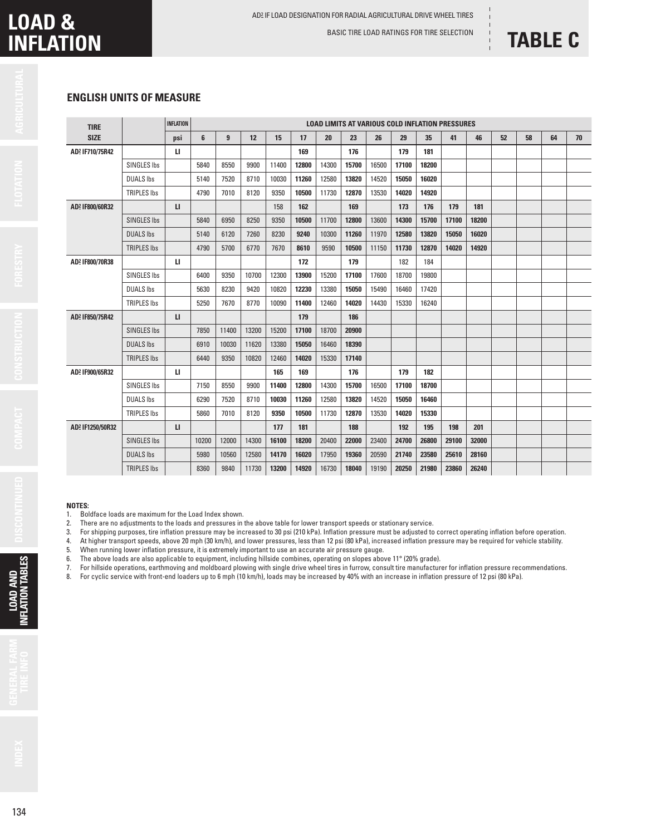BASIC TIRE LOAD RATINGS FOR TIRE SELECTION

## **TABLE C**

### **ENGLISH UNITS OF MEASURE**

| <b>TIRE</b>                 |                    | <b>INFLATION</b> | <b>LOAD LIMITS AT VARIOUS COLD INFLATION PRESSURES</b> |                |       |       |       |       |       |       |       |       |       |       |    |    |    |    |
|-----------------------------|--------------------|------------------|--------------------------------------------------------|----------------|-------|-------|-------|-------|-------|-------|-------|-------|-------|-------|----|----|----|----|
| <b>SIZE</b>                 |                    | psi              | 6                                                      | $\overline{9}$ | 12    | 15    | 17    | 20    | 23    | 26    | 29    | 35    | 41    | 46    | 52 | 58 | 64 | 70 |
| AD2 IF710/75R42             |                    | и                |                                                        |                |       |       | 169   |       | 176   |       | 179   | 181   |       |       |    |    |    |    |
|                             | SINGLES Ibs        |                  | 5840                                                   | 8550           | 9900  | 11400 | 12800 | 14300 | 15700 | 16500 | 17100 | 18200 |       |       |    |    |    |    |
|                             | <b>DUALS Ibs</b>   |                  | 5140                                                   | 7520           | 8710  | 10030 | 11260 | 12580 | 13820 | 14520 | 15050 | 16020 |       |       |    |    |    |    |
|                             | <b>TRIPLES Ibs</b> |                  | 4790                                                   | 7010           | 8120  | 9350  | 10500 | 11730 | 12870 | 13530 | 14020 | 14920 |       |       |    |    |    |    |
| AD2 IF800/60R32             |                    | $\mathbf{u}$     |                                                        |                |       | 158   | 162   |       | 169   |       | 173   | 176   | 179   | 181   |    |    |    |    |
|                             | <b>SINGLES Ibs</b> |                  | 5840                                                   | 6950           | 8250  | 9350  | 10500 | 11700 | 12800 | 13600 | 14300 | 15700 | 17100 | 18200 |    |    |    |    |
|                             | <b>DUALS Ibs</b>   |                  | 5140                                                   | 6120           | 7260  | 8230  | 9240  | 10300 | 11260 | 11970 | 12580 | 13820 | 15050 | 16020 |    |    |    |    |
|                             | <b>TRIPLES Ibs</b> |                  | 4790                                                   | 5700           | 6770  | 7670  | 8610  | 9590  | 10500 | 11150 | 11730 | 12870 | 14020 | 14920 |    |    |    |    |
| AD2 IF800/70R38             |                    | u.               |                                                        |                |       |       | 172   |       | 179   |       | 182   | 184   |       |       |    |    |    |    |
|                             | <b>SINGLES Ibs</b> |                  | 6400                                                   | 9350           | 10700 | 12300 | 13900 | 15200 | 17100 | 17600 | 18700 | 19800 |       |       |    |    |    |    |
|                             | <b>DUALS Ibs</b>   |                  | 5630                                                   | 8230           | 9420  | 10820 | 12230 | 13380 | 15050 | 15490 | 16460 | 17420 |       |       |    |    |    |    |
|                             | <b>TRIPLES Ibs</b> |                  | 5250                                                   | 7670           | 8770  | 10090 | 11400 | 12460 | 14020 | 14430 | 15330 | 16240 |       |       |    |    |    |    |
| AD <sup>2</sup> IF850/75R42 |                    | $\mathbf{u}$     |                                                        |                |       |       | 179   |       | 186   |       |       |       |       |       |    |    |    |    |
|                             | <b>SINGLES Ibs</b> |                  | 7850                                                   | 11400          | 13200 | 15200 | 17100 | 18700 | 20900 |       |       |       |       |       |    |    |    |    |
|                             | <b>DUALS Ibs</b>   |                  | 6910                                                   | 10030          | 11620 | 13380 | 15050 | 16460 | 18390 |       |       |       |       |       |    |    |    |    |
|                             | <b>TRIPLES Ibs</b> |                  | 6440                                                   | 9350           | 10820 | 12460 | 14020 | 15330 | 17140 |       |       |       |       |       |    |    |    |    |
| AD2 IF900/65R32             |                    | $\mathbf{u}$     |                                                        |                |       | 165   | 169   |       | 176   |       | 179   | 182   |       |       |    |    |    |    |
|                             | SINGLES Ibs        |                  | 7150                                                   | 8550           | 9900  | 11400 | 12800 | 14300 | 15700 | 16500 | 17100 | 18700 |       |       |    |    |    |    |
|                             | <b>DUALS Ibs</b>   |                  | 6290                                                   | 7520           | 8710  | 10030 | 11260 | 12580 | 13820 | 14520 | 15050 | 16460 |       |       |    |    |    |    |
|                             | <b>TRIPLES Ibs</b> |                  | 5860                                                   | 7010           | 8120  | 9350  | 10500 | 11730 | 12870 | 13530 | 14020 | 15330 |       |       |    |    |    |    |
| AD2 IF1250/50R32            |                    | $\mathbf{u}$     |                                                        |                |       | 177   | 181   |       | 188   |       | 192   | 195   | 198   | 201   |    |    |    |    |
|                             | <b>SINGLES Ibs</b> |                  | 10200                                                  | 12000          | 14300 | 16100 | 18200 | 20400 | 22000 | 23400 | 24700 | 26800 | 29100 | 32000 |    |    |    |    |
|                             | <b>DUALS lbs</b>   |                  | 5980                                                   | 10560          | 12580 | 14170 | 16020 | 17950 | 19360 | 20590 | 21740 | 23580 | 25610 | 28160 |    |    |    |    |
|                             | <b>TRIPLES Ibs</b> |                  | 8360                                                   | 9840           | 11730 | 13200 | 14920 | 16730 | 18040 | 19190 | 20250 | 21980 | 23860 | 26240 |    |    |    |    |

#### **NOTES:**

- 1. Boldface loads are maximum for the Load Index shown.<br>2. There are no adjustments to the loads and pressures in
- 2. There are no adjustments to the loads and pressures in the above table for lower transport speeds or stationary service.<br>3. For shipping purposes, tire inflation pressure may be increased to 30 psi (210 kPa). Inflation
- 3. For shipping purposes, tire inflation pressure may be increased to 30 psi (210 kPa). Inflation pressure must be adjusted to correct operating inflation before operation.
- 4. At higher transport speeds, above 20 mph (30 km/h), and lower pressures, less than 12 psi (80 kPa), increased inflation pressure may be required for vehicle stability.
- 5. When running lower inflation pressure, it is extremely important to use an accurate air pressure gauge.

- 6. The above loads are also applicable to equipment, including hillside combines, operating on slopes above 11° (20% grade). 7. For hillside operations, earthmoving and moldboard plowing with single drive wheel tires in furrow, consult tire manufacturer for inflation pressure recommendations.<br>8. For cyclic service with front-end loaders up to 6
- 8. For cyclic service with front-end loaders up to 6 mph (10 km/h), loads may be increased by 40% with an increase in inflation pressure of 12 psi (80 kPa).